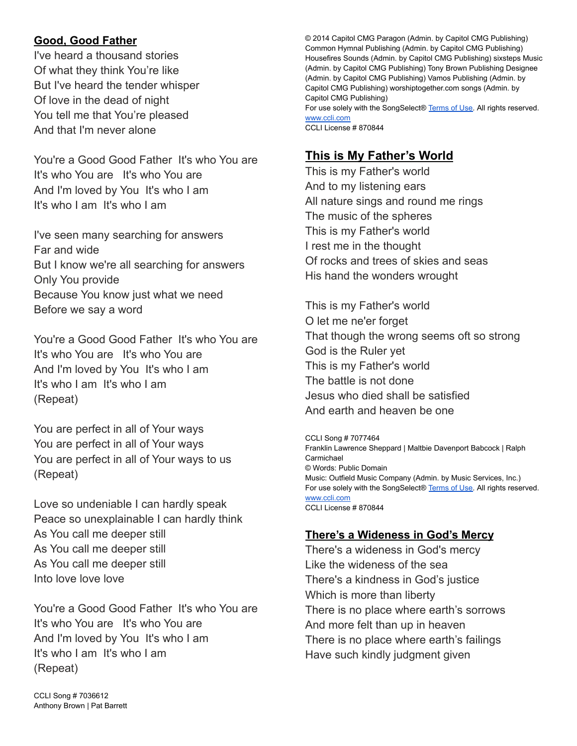## **Good, Good Father**

I've heard a thousand stories Of what they think You're like But I've heard the tender whisper Of love in the dead of night You tell me that You're pleased And that I'm never alone

You're a Good Good Father It's who You are It's who You are It's who You are And I'm loved by You It's who I am It's who I am It's who I am

I've seen many searching for answers Far and wide But I know we're all searching for answers Only You provide Because You know just what we need Before we say a word

You're a Good Good Father It's who You are It's who You are It's who You are And I'm loved by You It's who I am It's who I am It's who I am (Repeat)

You are perfect in all of Your ways You are perfect in all of Your ways You are perfect in all of Your ways to us (Repeat)

Love so undeniable I can hardly speak Peace so unexplainable I can hardly think As You call me deeper still As You call me deeper still As You call me deeper still Into love love love

You're a Good Good Father It's who You are It's who You are It's who You are And I'm loved by You It's who I am It's who I am It's who I am (Repeat)

© 2014 Capitol CMG Paragon (Admin. by Capitol CMG Publishing) Common Hymnal Publishing (Admin. by Capitol CMG Publishing) Housefires Sounds (Admin. by Capitol CMG Publishing) sixsteps Music (Admin. by Capitol CMG Publishing) Tony Brown Publishing Designee (Admin. by Capitol CMG Publishing) Vamos Publishing (Admin. by Capitol CMG Publishing) worshiptogether.com songs (Admin. by Capitol CMG Publishing) For use solely with the SongSelect® [Terms](https://songselect.ccli.com/about/termsofuse) of Use. All rights reserved. [www.ccli.com](http://www.ccli.com/) CCLI License # 870844

## **This is My Father's World**

This is my Father's world And to my listening ears All nature sings and round me rings The music of the spheres This is my Father's world I rest me in the thought Of rocks and trees of skies and seas His hand the wonders wrought

This is my Father's world O let me ne'er forget That though the wrong seems oft so strong God is the Ruler yet This is my Father's world The battle is not done Jesus who died shall be satisfied And earth and heaven be one

CCLI Song # 7077464 Franklin Lawrence Sheppard | Maltbie Davenport Babcock | Ralph Carmichael © Words: Public Domain Music: Outfield Music Company (Admin. by Music Services, Inc.) For use solely with the SongSelect® [Terms](https://songselect.ccli.com/about/termsofuse) of Use. All rights reserved. [www.ccli.com](http://www.ccli.com/) CCLI License # 870844

## **There's a Wideness in God's Mercy**

There's a wideness in God's mercy Like the wideness of the sea There's a kindness in God's justice Which is more than liberty There is no place where earth's sorrows And more felt than up in heaven There is no place where earth's failings Have such kindly judgment given